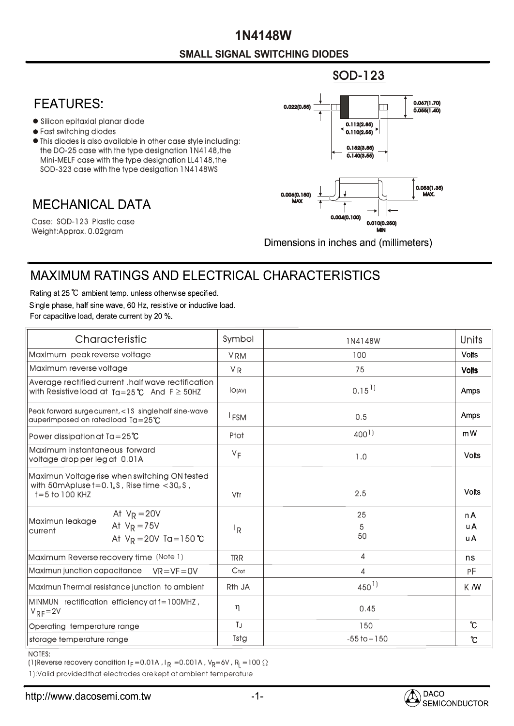## **SMALL SIGNAL SWITCHING DIODES 1N4148W**

## **FEATURES:**

- Silicon epitaxial planar diode
- Fast switching diodes
- This diodes is also available in other case style including: the DO-25 case with the type designation 1N4148,the Mini-MELF case with the type designation LL4148,the SOD-323 case with the type desigation 1N4148WS

## **MECHANICAL DATA**

Weight:Approx. 0.02gram Case: SOD-123 Plastic case



Dimensions in inches and (millimeters)

## **MAXIMUM RATINGS AND ELECTRICAL CHARACTERISTICS**

Rating at 25 °C ambient temp. unless otherwise specified. Single phase, half sine wave, 60 Hz, resistive or inductive load. For capacitive load, derate current by 20 %.

| Characteristic                                                                                                                                   | Symbol             | 1N4148W              | <b>Units</b>                  |
|--------------------------------------------------------------------------------------------------------------------------------------------------|--------------------|----------------------|-------------------------------|
| Maximum peak reverse voltage                                                                                                                     | <b>VRM</b>         | 100                  | <b>Volts</b>                  |
| Maximum reverse voltage                                                                                                                          | <b>VR</b>          | 75                   | <b>Volts</b>                  |
| Average rectified current .half wave rectification<br>with Resistive load at $Ta=25^{\circ}C$ And $F \geq 50HZ$                                  | IO(AV)             | $0.15$ <sup>1)</sup> | Amps                          |
| Peak forward surge current, <1S single half sine-wave<br>auperimposed on rated load $Ta = 25^{\circ}C$                                           | <sup>I</sup> FSM   | 0.5                  | Amps                          |
| Power dissipation at $Ta = 25^{\circ}C$                                                                                                          | Ptot               | $400^{1}$            | mW                            |
| Maximum instantaneous forward<br>voltage drop per leg at 0.01A                                                                                   | $V_F$              | 1.0                  | <b>Volts</b>                  |
| Maximun Voltage rise when switching ON tested<br>with 50mApluse $t = 0.1$ <sub>u</sub> S, Rise time $< 30$ <sub>u</sub> S,<br>$f = 5$ to 100 KHZ | Vfr                | 2.5                  | <b>Volts</b>                  |
| At $V_R = 20V$<br>Maximun leakage<br>At $V_R = 75V$<br>current<br>At $V_R = 20V$ Ta = 150 °C                                                     | ΙŖ                 | 25<br>5<br>50        | n A<br><b>uA</b><br><b>uA</b> |
| Maximum Reverse recovery time (Note 1)                                                                                                           | <b>TRR</b>         | 4                    | ns                            |
| Maximun junction capacitance<br>$VR = VF = OV$                                                                                                   | Ctot               | 4                    | РF                            |
| Maximun Thermal resistance junction to ambient                                                                                                   | R <sub>th</sub> JA | $450^{1}$            | K M                           |
| MINMUN rectification efficiency at f=100MHZ,<br>$V_{RF} = 2V$                                                                                    | $\eta$             | 0.45                 |                               |
| Operating temperature range                                                                                                                      | TJ                 | 150                  | $\mathcal{C}$                 |
| storage temperature range                                                                                                                        | Tstg               | $-55$ to $+150$      | $\mathcal{C}$                 |

NOTES:

(1)Reverse recovery condition I $_{\mathsf{F}}$  =0.01A , I $_{\mathsf{R}}$  =0.001A , V $_{\mathsf{R}}$ =6V , R $_{\mathsf{L}}$  =100

1):Valid provided that electrodes are kept at ambient temperature

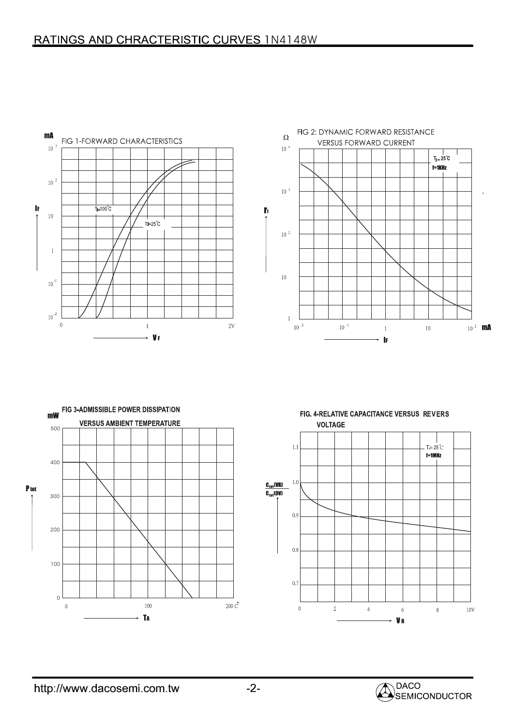



FIG. 4-RELATIVE CAPACITANCE VERSUS REVERS **VOLTAGE**